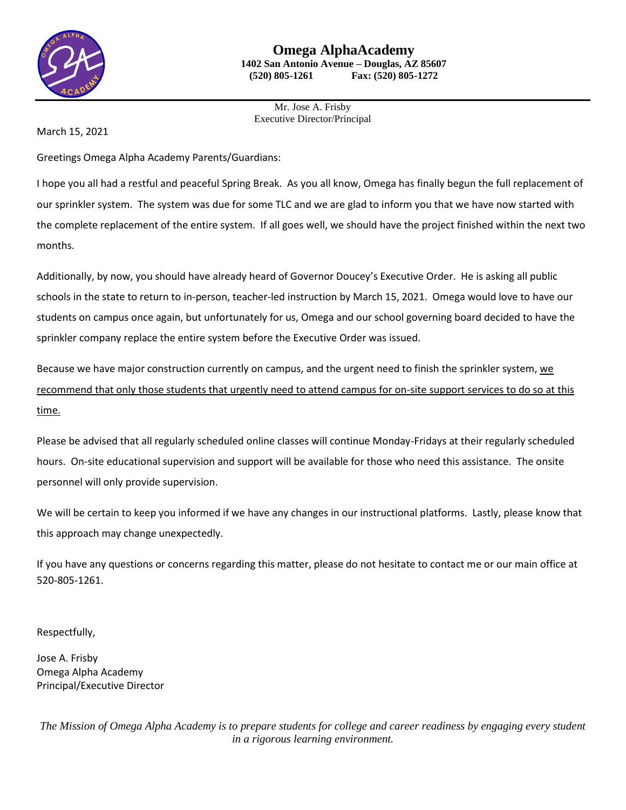

Mr. Jose A. Frisby Executive Director/Principal

March 15, 2021

Greetings Omega Alpha Academy Parents/Guardians:

I hope you all had a restful and peaceful Spring Break. As you all know, Omega has finally begun the full replacement of our sprinkler system. The system was due for some TLC and we are glad to inform you that we have now started with the complete replacement of the entire system. If all goes well, we should have the project finished within the next two months.

Additionally, by now, you should have already heard of Governor Doucey's Executive Order. He is asking all public schools in the state to return to in-person, teacher-led instruction by March 15, 2021. Omega would love to have our students on campus once again, but unfortunately for us, Omega and our school governing board decided to have the sprinkler company replace the entire system before the Executive Order was issued.

Because we have major construction currently on campus, and the urgent need to finish the sprinkler system, we recommend that only those students that urgently need to attend campus for on-site support services to do so at this time.

Please be advised that all regularly scheduled online classes will continue Monday-Fridays at their regularly scheduled hours. On-site educational supervision and support will be available for those who need this assistance. The onsite personnel will only provide supervision.

We will be certain to keep you informed if we have any changes in our instructional platforms. Lastly, please know that this approach may change unexpectedly.

If you have any questions or concerns regarding this matter, please do not hesitate to contact me or our main office at 520-805-1261.

Respectfully,

Jose A. Frisby Omega Alpha Academy Principal/Executive Director

*The Mission of Omega Alpha Academy is to prepare students for college and career readiness by engaging every student in a rigorous learning environment.*